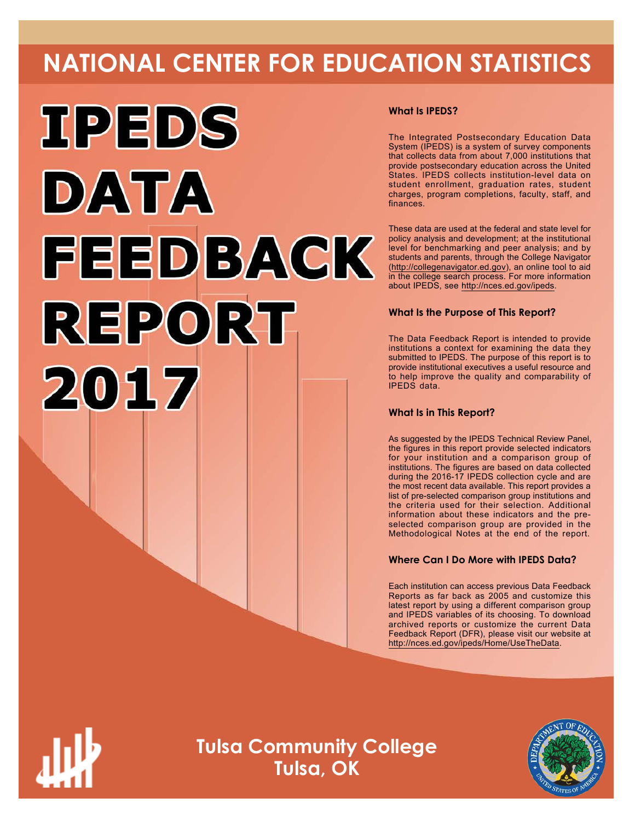# **NATIONAL CENTER FOR EDUCATION STATISTICS**



#### **What Is IPEDS?**

The Integrated Postsecondary Education Data System (IPEDS) is a system of survey components that collects data from about 7,000 institutions that provide postsecondary education across the United States. IPEDS collects institution-level data on student enrollment, graduation rates, student charges, program completions, faculty, staff, and finances.

These data are used at the federal and state level for policy analysis and development; at the institutional level for benchmarking and peer analysis; and by students and parents, through the College Navigator (http://collegenavigator.ed.gov), an online tool to aid in the college search process. For more information about IPEDS, see http://nces.ed.gov/ipeds.

#### **What Is the Purpose of This Report?**

The Data Feedback Report is intended to provide institutions a context for examining the data they submitted to IPEDS. The purpose of this report is to provide institutional executives a useful resource and to help improve the quality and comparability of IPEDS data.

#### **What Is in This Report?**

As suggested by the IPEDS Technical Review Panel, the figures in this report provide selected indicators for your institution and a comparison group of institutions. The figures are based on data collected during the 2016-17 IPEDS collection cycle and are the most recent data available. This report provides a list of pre-selected comparison group institutions and the criteria used for their selection. Additional information about these indicators and the preselected comparison group are provided in the Methodological Notes at the end of the report.

#### **Where Can I Do More with IPEDS Data?**

Each institution can access previous Data Feedback Reports as far back as 2005 and customize this latest report by using a different comparison group and IPEDS variables of its choosing. To download archived reports or customize the current Data Feedback Report (DFR), please visit our website at http://nces.ed.gov/ipeds/Home/UseTheData.



**Tulsa Community College Tulsa, OK**

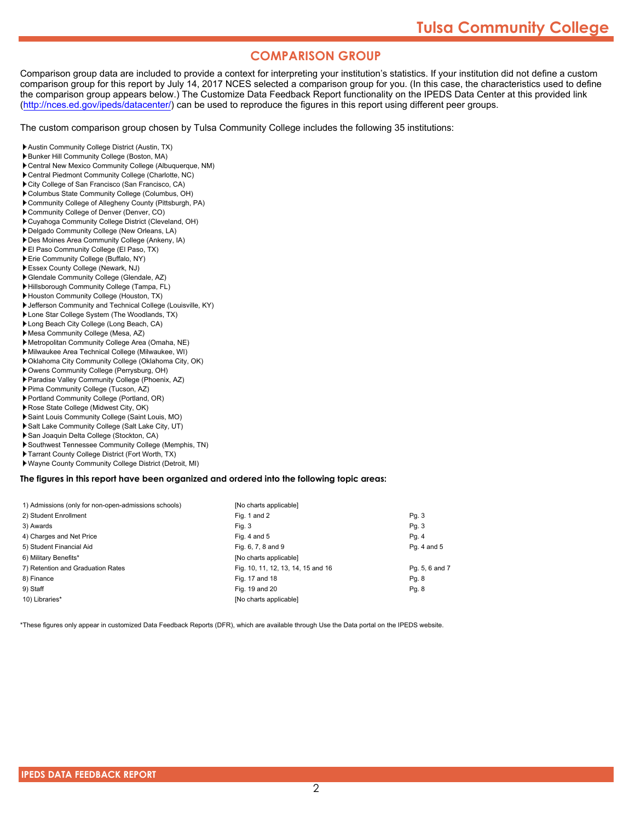### **COMPARISON GROUP**

Comparison group data are included to provide a context for interpreting your institution's statistics. If your institution did not define a custom comparison group for this report by July 14, 2017 NCES selected a comparison group for you. (In this case, the characteristics used to define the comparison group appears below.) The Customize Data Feedback Report functionality on the IPEDS Data Center at this provided link (http://nces.ed.gov/ipeds/datacenter/) can be used to reproduce the figures in this report using different peer groups.

The custom comparison group chosen by Tulsa Community College includes the following 35 institutions:

- Austin Community College District (Austin, TX) Bunker Hill Community College (Boston, MA)
- Central New Mexico Community College (Albuquerque, NM)
- Central Piedmont Community College (Charlotte, NC)
- City College of San Francisco (San Francisco, CA)
- Columbus State Community College (Columbus, OH)
- Community College of Allegheny County (Pittsburgh, PA)
- Community College of Denver (Denver, CO)
- Cuyahoga Community College District (Cleveland, OH)
- Delgado Community College (New Orleans, LA)
- Des Moines Area Community College (Ankeny, IA)
- El Paso Community College (El Paso, TX)
- Erie Community College (Buffalo, NY)
- Essex County College (Newark, NJ)
- Glendale Community College (Glendale, AZ)
- Hillsborough Community College (Tampa, FL)
- Houston Community College (Houston, TX)
- Jefferson Community and Technical College (Louisville, KY)
- Lone Star College System (The Woodlands, TX)
- Long Beach City College (Long Beach, CA)
- Mesa Community College (Mesa, AZ)
- Metropolitan Community College Area (Omaha, NE)
- Milwaukee Area Technical College (Milwaukee, WI)
- Oklahoma City Community College (Oklahoma City, OK)
- Owens Community College (Perrysburg, OH)
- Paradise Valley Community College (Phoenix, AZ)
- Pima Community College (Tucson, AZ)
- Portland Community College (Portland, OR)
- Rose State College (Midwest City, OK)
- Saint Louis Community College (Saint Louis, MO)
- Salt Lake Community College (Salt Lake City, UT)
- ▶ San Joaquin Delta College (Stockton, CA)
- Southwest Tennessee Community College (Memphis, TN)
- Tarrant County College District (Fort Worth, TX)
- Wayne County Community College District (Detroit, MI)

**The figures in this report have been organized and ordered into the following topic areas:**

| 1) Admissions (only for non-open-admissions schools) | [No charts applicable]             |                |
|------------------------------------------------------|------------------------------------|----------------|
| 2) Student Enrollment                                | Fig. 1 and 2                       | Pq. 3          |
| 3) Awards                                            | Fig. 3                             | Pg. 3          |
| 4) Charges and Net Price                             | Fig. 4 and $5$                     | Pg. 4          |
| 5) Student Financial Aid                             | Fig. 6, 7, 8 and 9                 | Pg. 4 and 5    |
| 6) Military Benefits*                                | [No charts applicable]             |                |
| 7) Retention and Graduation Rates                    | Fig. 10, 11, 12, 13, 14, 15 and 16 | Pg. 5, 6 and 7 |
| 8) Finance                                           | Fig. 17 and 18                     | Pg. 8          |
| 9) Staff                                             | Fig. 19 and 20                     | Pg. 8          |
| 10) Libraries*                                       | [No charts applicable]             |                |

\*These figures only appear in customized Data Feedback Reports (DFR), which are available through Use the Data portal on the IPEDS website.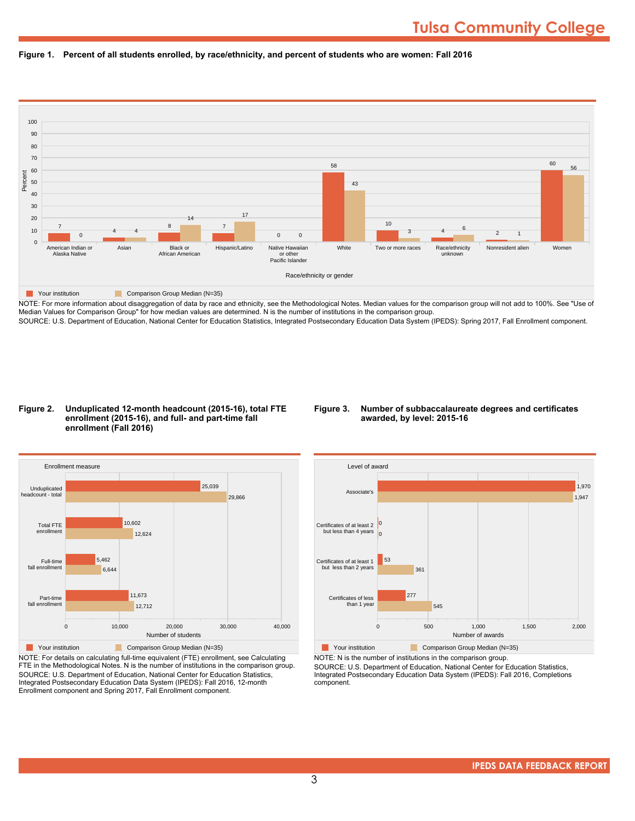



NOTE: For more information about disaggregation of data by race and ethnicity, see the Methodological Notes. Median values for the comparison group will not add to 100%. See "Use of Median Values for Comparison Group" for how median values are determined. N is the number of institutions in the comparison group. SOURCE: U.S. Department of Education, National Center for Education Statistics, Integrated Postsecondary Education Data System (IPEDS): Spring 2017, Fall Enrollment component.

#### **Figure 2. Unduplicated 12-month headcount (2015-16), total FTE enrollment (2015-16), and full- and part-time fall enrollment (Fall 2016)**

#### **Figure 3. Number of subbaccalaureate degrees and certificates awarded, by level: 2015-16**



NOTE: For details on calculating full-time equivalent (FTE) enrollment, see Calculating FTE in the Methodological Notes. N is the number of institutions in the comparison group. SOURCE: U.S. Department of Education, National Center for Education Statistics, Integrated Postsecondary Education Data System (IPEDS): Fall 2016, 12-month Enrollment component and Spring 2017, Fall Enrollment component.



**The Your institution Comparison Group Median (N=35)** NOTE: N is the number of institutions in the comparison group.

SOURCE: U.S. Department of Education, National Center for Education Statistics, Integrated Postsecondary Education Data System (IPEDS): Fall 2016, Completions component.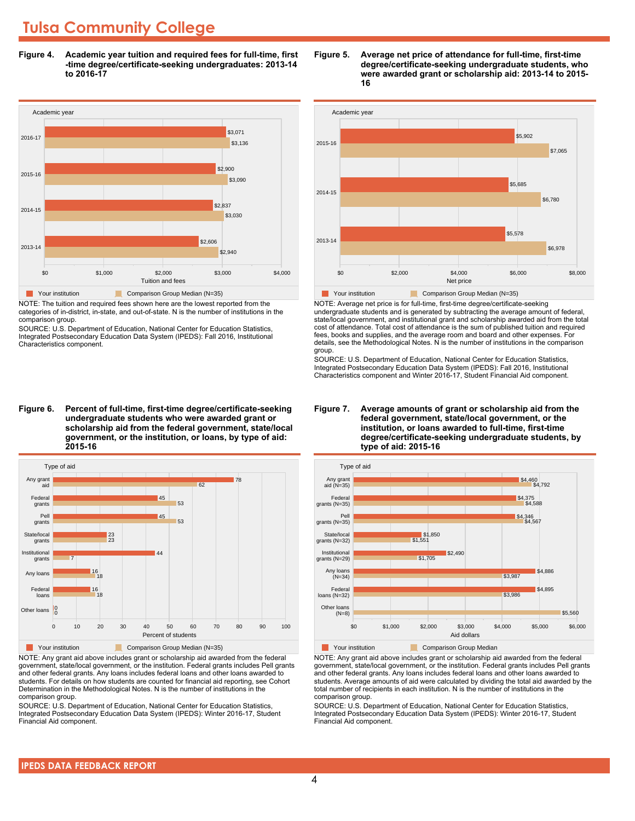### **Tulsa Community College**

**Figure 4. Academic year tuition and required fees for full-time, first -time degree/certificate-seeking undergraduates: 2013-14 to 2016-17**



NOTE: The tuition and required fees shown here are the lowest reported from the categories of in-district, in-state, and out-of-state. N is the number of institutions in the comparison group.

SOURCE: U.S. Department of Education, National Center for Education Statistics, Integrated Postsecondary Education Data System (IPEDS): Fall 2016, Institutional Characteristics component.

**Figure 6. Percent of full-time, first-time degree/certificate-seeking undergraduate students who were awarded grant or scholarship aid from the federal government, state/local government, or the institution, or loans, by type of aid: 2015-16**



NOTE: Any grant aid above includes grant or scholarship aid awarded from the federal government, state/local government, or the institution. Federal grants includes Pell grants and other federal grants. Any loans includes federal loans and other loans awarded to students. For details on how students are counted for financial aid reporting, see Cohort Determination in the Methodological Notes. N is the number of institutions in the comparison group.

SOURCE: U.S. Department of Education, National Center for Education Statistics, Integrated Postsecondary Education Data System (IPEDS): Winter 2016-17, Student Financial Aid component.





NOTE: Average net price is for full-time, first-time degree/certificate-seeking undergraduate students and is generated by subtracting the average amount of federal, state/local government, and institutional grant and scholarship awarded aid from the total cost of attendance. Total cost of attendance is the sum of published tuition and required fees, books and supplies, and the average room and board and other expenses. For details, see the Methodological Notes. N is the number of institutions in the comparison group.

SOURCE: U.S. Department of Education, National Center for Education Statistics, Integrated Postsecondary Education Data System (IPEDS): Fall 2016, Institutional Characteristics component and Winter 2016-17, Student Financial Aid component.





**The Comparison Group Median**<br> **Comparison Group Median** 

NOTE: Any grant aid above includes grant or scholarship aid awarded from the federal government, state/local government, or the institution. Federal grants includes Pell grants and other federal grants. Any loans includes federal loans and other loans awarded to students. Average amounts of aid were calculated by dividing the total aid awarded by the total number of recipients in each institution. N is the number of institutions in the comparison group.

SOURCE: U.S. Department of Education, National Center for Education Statistics, Integrated Postsecondary Education Data System (IPEDS): Winter 2016-17, Student Financial Aid component.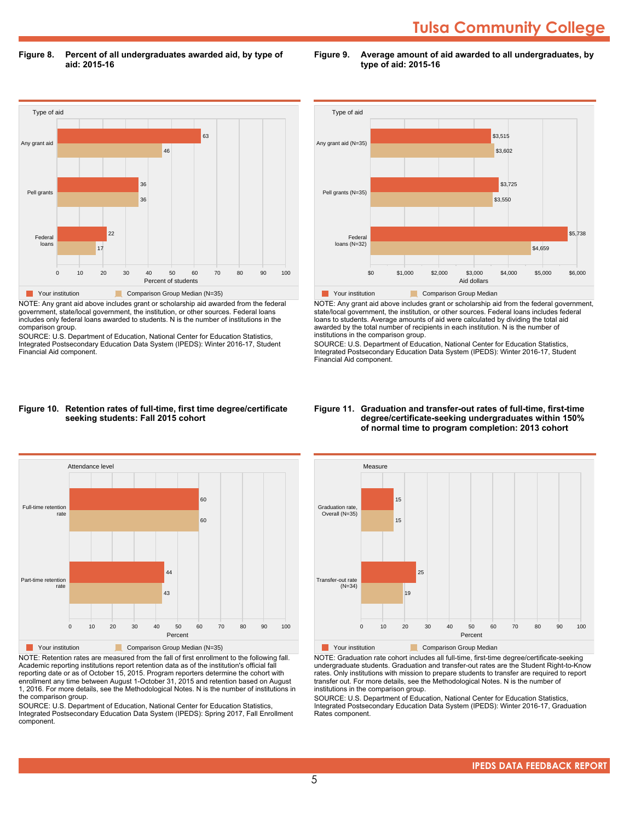## **Tulsa Community College**

**Figure 8. Percent of all undergraduates awarded aid, by type of aid: 2015-16**

Type of aid 0 10 20 30 40 50 60 70 80 90 100 Percent of students Federal loans Pell grants Any grant aid 17  $22$ 36 36 46 63 **The Comparison Group Median (N=35)** Comparison Group Median (N=35)

NOTE: Any grant aid above includes grant or scholarship aid awarded from the federal government, state/local government, the institution, or other sources. Federal loans includes only federal loans awarded to students. N is the number of institutions in the comparison group.

SOURCE: U.S. Department of Education, National Center for Education Statistics, Integrated Postsecondary Education Data System (IPEDS): Winter 2016-17, Student Financial Aid component.



**Figure 9. Average amount of aid awarded to all undergraduates, by**

**type of aid: 2015-16**

NOTE: Any grant aid above includes grant or scholarship aid from the federal government, state/local government, the institution, or other sources. Federal loans includes federal loans to students. Average amounts of aid were calculated by dividing the total aid awarded by the total number of recipients in each institution. N is the number of institutions in the comparison group.

SOURCE: U.S. Department of Education, National Center for Education Statistics, Integrated Postsecondary Education Data System (IPEDS): Winter 2016-17, Student Financial Aid component.

#### **Figure 10. Retention rates of full-time, first time degree/certificate seeking students: Fall 2015 cohort**



NOTE: Retention rates are measured from the fall of first enrollment to the following fall. Academic reporting institutions report retention data as of the institution's official fall reporting date or as of October 15, 2015. Program reporters determine the cohort with enrollment any time between August 1-October 31, 2015 and retention based on August 1, 2016. For more details, see the Methodological Notes. N is the number of institutions in the comparison group.

SOURCE: U.S. Department of Education, National Center for Education Statistics, Integrated Postsecondary Education Data System (IPEDS): Spring 2017, Fall Enrollment component.

#### **Figure 11. Graduation and transfer-out rates of full-time, first-time degree/certificate-seeking undergraduates within 150% of normal time to program completion: 2013 cohort**



NOTE: Graduation rate cohort includes all full-time, first-time degree/certificate-seeking undergraduate students. Graduation and transfer-out rates are the Student Right-to-Know rates. Only institutions with mission to prepare students to transfer are required to report transfer out. For more details, see the Methodological Notes. N is the number of institutions in the comparison group.

SOURCE: U.S. Department of Education, National Center for Education Statistics, Integrated Postsecondary Education Data System (IPEDS): Winter 2016-17, Graduation Rates component.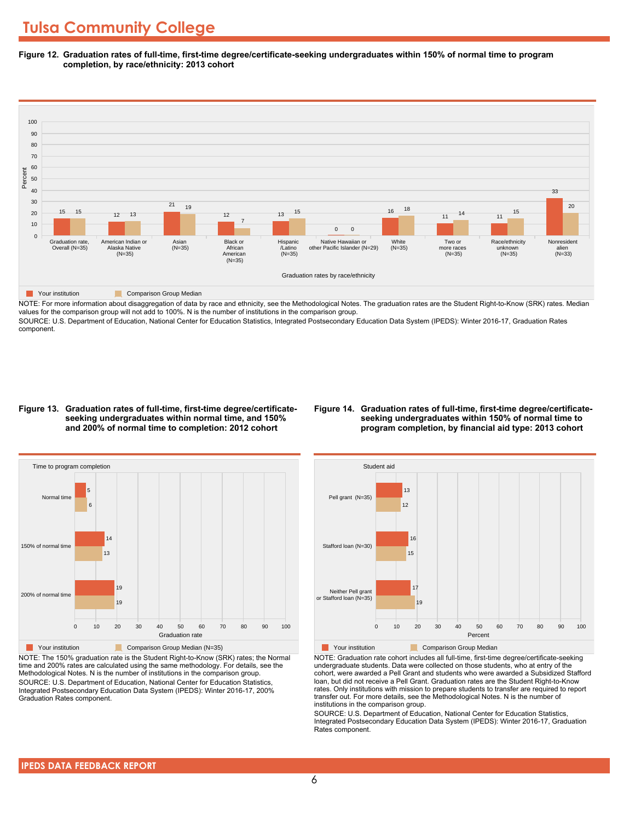**Figure 12. Graduation rates of full-time, first-time degree/certificate-seeking undergraduates within 150% of normal time to program completion, by race/ethnicity: 2013 cohort**



NOTE: For more information about disaggregation of data by race and ethnicity, see the Methodological Notes. The graduation rates are the Student Right-to-Know (SRK) rates. Median values for the comparison group will not add to 100%. N is the number of institutions in the comparison group.

SOURCE: U.S. Department of Education, National Center for Education Statistics, Integrated Postsecondary Education Data System (IPEDS): Winter 2016-17, Graduation Rates component.

#### **Figure 13. Graduation rates of full-time, first-time degree/certificateseeking undergraduates within normal time, and 150% and 200% of normal time to completion: 2012 cohort**

#### **Figure 14. Graduation rates of full-time, first-time degree/certificateseeking undergraduates within 150% of normal time to program completion, by financial aid type: 2013 cohort**



NOTE: The 150% graduation rate is the Student Right-to-Know (SRK) rates; the Normal time and 200% rates are calculated using the same methodology. For details, see the Methodological Notes. N is the number of institutions in the comparison group. SOURCE: U.S. Department of Education, National Center for Education Statistics, Integrated Postsecondary Education Data System (IPEDS): Winter 2016-17, 200% Graduation Rates component.



**The Your institution** Comparison Group Median

NOTE: Graduation rate cohort includes all full-time, first-time degree/certificate-seeking undergraduate students. Data were collected on those students, who at entry of the cohort, were awarded a Pell Grant and students who were awarded a Subsidized Stafford loan, but did not receive a Pell Grant. Graduation rates are the Student Right-to-Know rates. Only institutions with mission to prepare students to transfer are required to report transfer out. For more details, see the Methodological Notes. N is the number of institutions in the comparison group.

SOURCE: U.S. Department of Education, National Center for Education Statistics, Integrated Postsecondary Education Data System (IPEDS): Winter 2016-17, Graduation Rates component.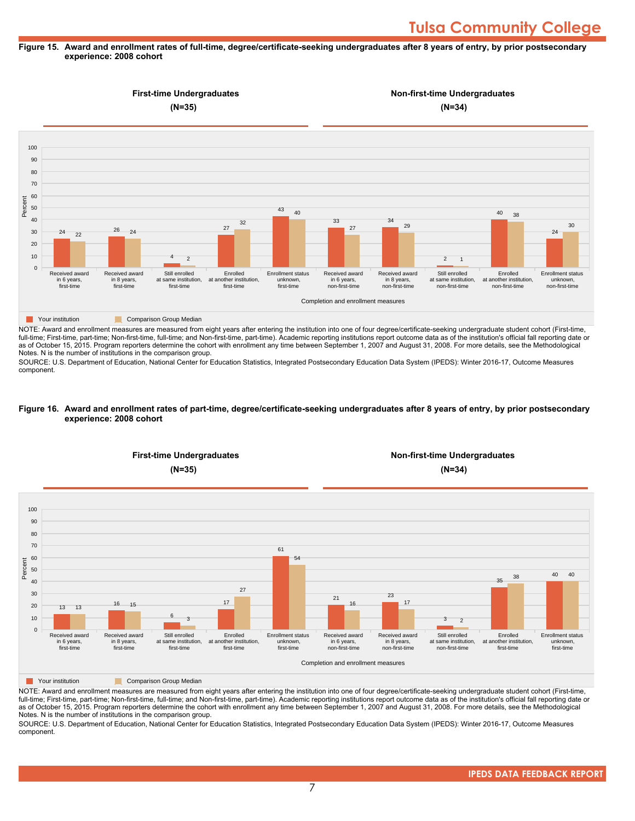#### **Figure 15. Award and enrollment rates of full-time, degree/certificate-seeking undergraduates after 8 years of entry, by prior postsecondary experience: 2008 cohort**



NOTE: Award and enrollment measures are measured from eight years after entering the institution into one of four degree/certificate-seeking undergraduate student cohort (First-time, full-time; First-time, part-time; Non-first-time, full-time; and Non-first-time, part-time). Academic reporting institutions report outcome data as of the institution's official fall reporting date or as of October 15, 2015. Program reporters determine the cohort with enrollment any time between September 1, 2007 and August 31, 2008. For more details, see the Methodological Notes. N is the number of institutions in the comparison group.

SOURCE: U.S. Department of Education, National Center for Education Statistics, Integrated Postsecondary Education Data System (IPEDS): Winter 2016-17, Outcome Measures component.

#### **Figure 16. Award and enrollment rates of part-time, degree/certificate-seeking undergraduates after 8 years of entry, by prior postsecondary experience: 2008 cohort**



NOTE: Award and enrollment measures are measured from eight years after entering the institution into one of four degree/certificate-seeking undergraduate student cohort (First-time, full-time; First-time, part-time; Non-first-time, full-time; and Non-first-time, part-time). Academic reporting institutions report outcome data as of the institution's official fall reporting date or as of October 15, 2015. Program reporters determine the cohort with enrollment any time between September 1, 2007 and August 31, 2008. For more details, see the Methodological Notes. N is the number of institutions in the comparison group.

SOURCE: U.S. Department of Education, National Center for Education Statistics, Integrated Postsecondary Education Data System (IPEDS): Winter 2016-17, Outcome Measures component.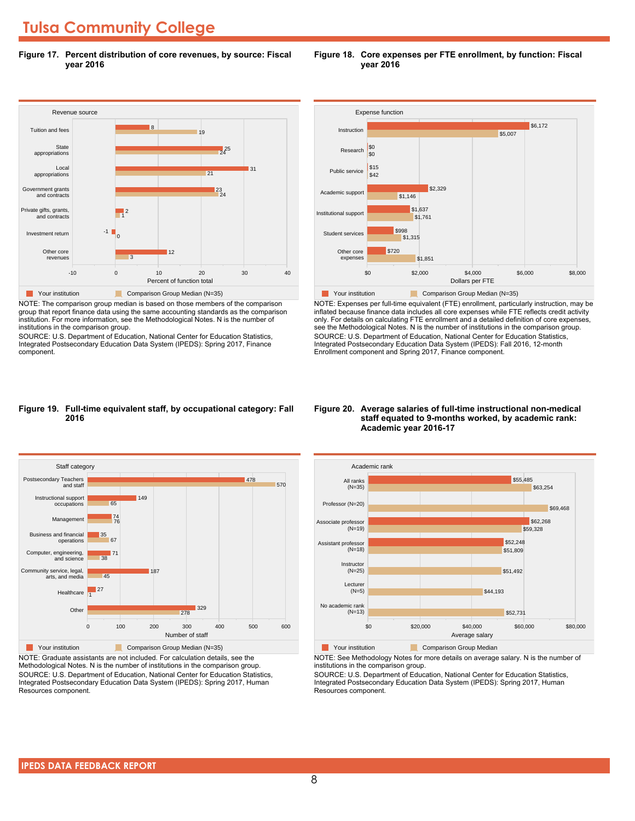### **Tulsa Community College**

**Figure 17. Percent distribution of core revenues, by source: Fiscal year 2016**



NOTE: The comparison group median is based on those members of the comparison group that report finance data using the same accounting standards as the comparison institution. For more information, see the Methodological Notes. N is the number of institutions in the comparison group.

SOURCE: U.S. Department of Education, National Center for Education Statistics, Integrated Postsecondary Education Data System (IPEDS): Spring 2017, Finance component.



NOTE: Expenses per full-time equivalent (FTE) enrollment, particularly instruction, may be inflated because finance data includes all core expenses while FTE reflects credit activity only. For details on calculating FTE enrollment and a detailed definition of core expenses, see the Methodological Notes. N is the number of institutions in the comparison group. SOURCE: U.S. Department of Education, National Center for Education Statistics, Integrated Postsecondary Education Data System (IPEDS): Fall 2016, 12-month Enrollment component and Spring 2017, Finance component.

#### **Figure 19. Full-time equivalent staff, by occupational category: Fall 2016**



NOTE: Graduate assistants are not included. For calculation details, see the Methodological Notes. N is the number of institutions in the comparison group. SOURCE: U.S. Department of Education, National Center for Education Statistics, Integrated Postsecondary Education Data System (IPEDS): Spring 2017, Human Resources component.

#### **Figure 20. Average salaries of full-time instructional non-medical staff equated to 9-months worked, by academic rank: Academic year 2016-17**



**The Comparison Group Median**<br> **Comparison Group Median** 

NOTE: See Methodology Notes for more details on average salary. N is the number of institutions in the comparison group.

SOURCE: U.S. Department of Education, National Center for Education Statistics, Integrated Postsecondary Education Data System (IPEDS): Spring 2017, Human Resources component.

#### **Figure 18. Core expenses per FTE enrollment, by function: Fiscal year 2016**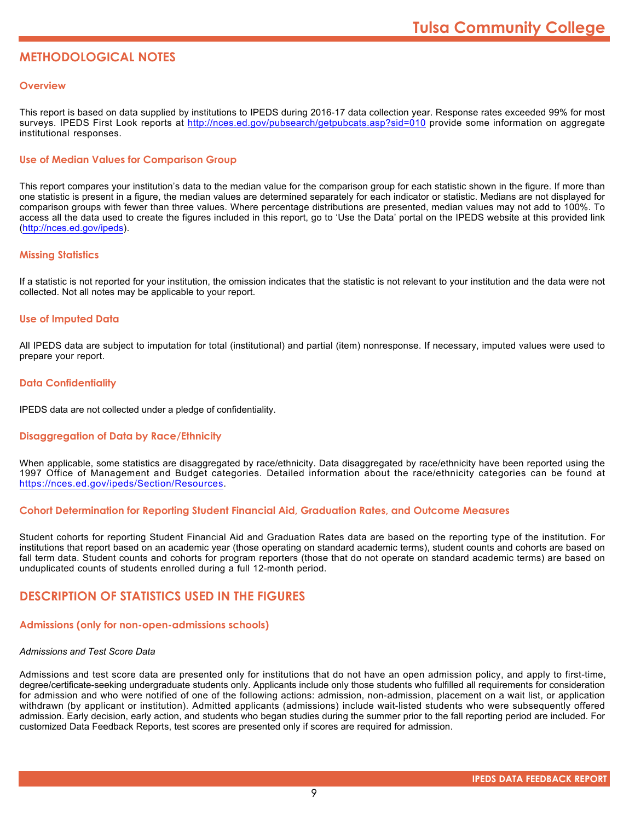### **METHODOLOGICAL NOTES**

#### **Overview**

This report is based on data supplied by institutions to IPEDS during 2016-17 data collection year. Response rates exceeded 99% for most surveys. IPEDS First Look reports at http://nces.ed.gov/pubsearch/getpubcats.asp?sid=010 provide some information on aggregate institutional responses.

#### **Use of Median Values for Comparison Group**

This report compares your institution's data to the median value for the comparison group for each statistic shown in the figure. If more than one statistic is present in a figure, the median values are determined separately for each indicator or statistic. Medians are not displayed for comparison groups with fewer than three values. Where percentage distributions are presented, median values may not add to 100%. To access all the data used to create the figures included in this report, go to 'Use the Data' portal on the IPEDS website at this provided link (http://nces.ed.gov/ipeds).

#### **Missing Statistics**

If a statistic is not reported for your institution, the omission indicates that the statistic is not relevant to your institution and the data were not collected. Not all notes may be applicable to your report.

#### **Use of Imputed Data**

All IPEDS data are subject to imputation for total (institutional) and partial (item) nonresponse. If necessary, imputed values were used to prepare your report.

#### **Data Confidentiality**

IPEDS data are not collected under a pledge of confidentiality.

#### **Disaggregation of Data by Race/Ethnicity**

When applicable, some statistics are disaggregated by race/ethnicity. Data disaggregated by race/ethnicity have been reported using the 1997 Office of Management and Budget categories. Detailed information about the race/ethnicity categories can be found at https://nces.ed.gov/ipeds/Section/Resources.

#### **Cohort Determination for Reporting Student Financial Aid, Graduation Rates, and Outcome Measures**

Student cohorts for reporting Student Financial Aid and Graduation Rates data are based on the reporting type of the institution. For institutions that report based on an academic year (those operating on standard academic terms), student counts and cohorts are based on fall term data. Student counts and cohorts for program reporters (those that do not operate on standard academic terms) are based on unduplicated counts of students enrolled during a full 12-month period.

#### **DESCRIPTION OF STATISTICS USED IN THE FIGURES**

#### **Admissions (only for non-open-admissions schools)**

#### *Admissions and Test Score Data*

Admissions and test score data are presented only for institutions that do not have an open admission policy, and apply to first-time, degree/certificate-seeking undergraduate students only. Applicants include only those students who fulfilled all requirements for consideration for admission and who were notified of one of the following actions: admission, non-admission, placement on a wait list, or application withdrawn (by applicant or institution). Admitted applicants (admissions) include wait-listed students who were subsequently offered admission. Early decision, early action, and students who began studies during the summer prior to the fall reporting period are included. For customized Data Feedback Reports, test scores are presented only if scores are required for admission.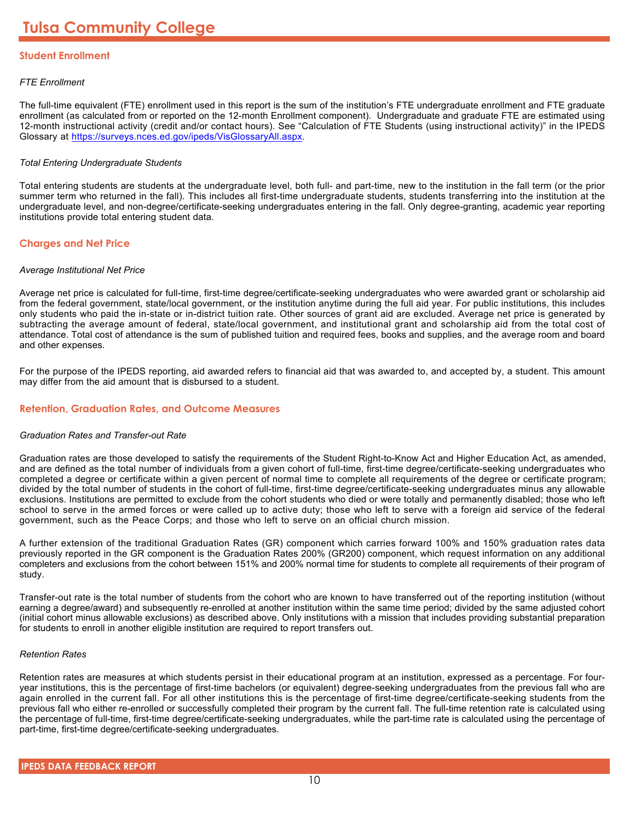#### **Student Enrollment**

#### *FTE Enrollment*

The full-time equivalent (FTE) enrollment used in this report is the sum of the institution's FTE undergraduate enrollment and FTE graduate enrollment (as calculated from or reported on the 12-month Enrollment component). Undergraduate and graduate FTE are estimated using 12-month instructional activity (credit and/or contact hours). See "Calculation of FTE Students (using instructional activity)" in the IPEDS Glossary at https://surveys.nces.ed.gov/ipeds/VisGlossaryAll.aspx.

#### *Total Entering Undergraduate Students*

Total entering students are students at the undergraduate level, both full- and part-time, new to the institution in the fall term (or the prior summer term who returned in the fall). This includes all first-time undergraduate students, students transferring into the institution at the undergraduate level, and non-degree/certificate-seeking undergraduates entering in the fall. Only degree-granting, academic year reporting institutions provide total entering student data.

#### **Charges and Net Price**

#### *Average Institutional Net Price*

Average net price is calculated for full-time, first-time degree/certificate-seeking undergraduates who were awarded grant or scholarship aid from the federal government, state/local government, or the institution anytime during the full aid year. For public institutions, this includes only students who paid the in-state or in-district tuition rate. Other sources of grant aid are excluded. Average net price is generated by subtracting the average amount of federal, state/local government, and institutional grant and scholarship aid from the total cost of attendance. Total cost of attendance is the sum of published tuition and required fees, books and supplies, and the average room and board and other expenses.

For the purpose of the IPEDS reporting, aid awarded refers to financial aid that was awarded to, and accepted by, a student. This amount may differ from the aid amount that is disbursed to a student.

#### **Retention, Graduation Rates, and Outcome Measures**

#### *Graduation Rates and Transfer-out Rate*

Graduation rates are those developed to satisfy the requirements of the Student Right-to-Know Act and Higher Education Act, as amended, and are defined as the total number of individuals from a given cohort of full-time, first-time degree/certificate-seeking undergraduates who completed a degree or certificate within a given percent of normal time to complete all requirements of the degree or certificate program; divided by the total number of students in the cohort of full-time, first-time degree/certificate-seeking undergraduates minus any allowable exclusions. Institutions are permitted to exclude from the cohort students who died or were totally and permanently disabled; those who left school to serve in the armed forces or were called up to active duty; those who left to serve with a foreign aid service of the federal government, such as the Peace Corps; and those who left to serve on an official church mission.

A further extension of the traditional Graduation Rates (GR) component which carries forward 100% and 150% graduation rates data previously reported in the GR component is the Graduation Rates 200% (GR200) component, which request information on any additional completers and exclusions from the cohort between 151% and 200% normal time for students to complete all requirements of their program of study.

Transfer-out rate is the total number of students from the cohort who are known to have transferred out of the reporting institution (without earning a degree/award) and subsequently re-enrolled at another institution within the same time period; divided by the same adjusted cohort (initial cohort minus allowable exclusions) as described above. Only institutions with a mission that includes providing substantial preparation for students to enroll in another eligible institution are required to report transfers out.

#### *Retention Rates*

Retention rates are measures at which students persist in their educational program at an institution, expressed as a percentage. For fouryear institutions, this is the percentage of first-time bachelors (or equivalent) degree-seeking undergraduates from the previous fall who are again enrolled in the current fall. For all other institutions this is the percentage of first-time degree/certificate-seeking students from the previous fall who either re-enrolled or successfully completed their program by the current fall. The full-time retention rate is calculated using the percentage of full-time, first-time degree/certificate-seeking undergraduates, while the part-time rate is calculated using the percentage of part-time, first-time degree/certificate-seeking undergraduates.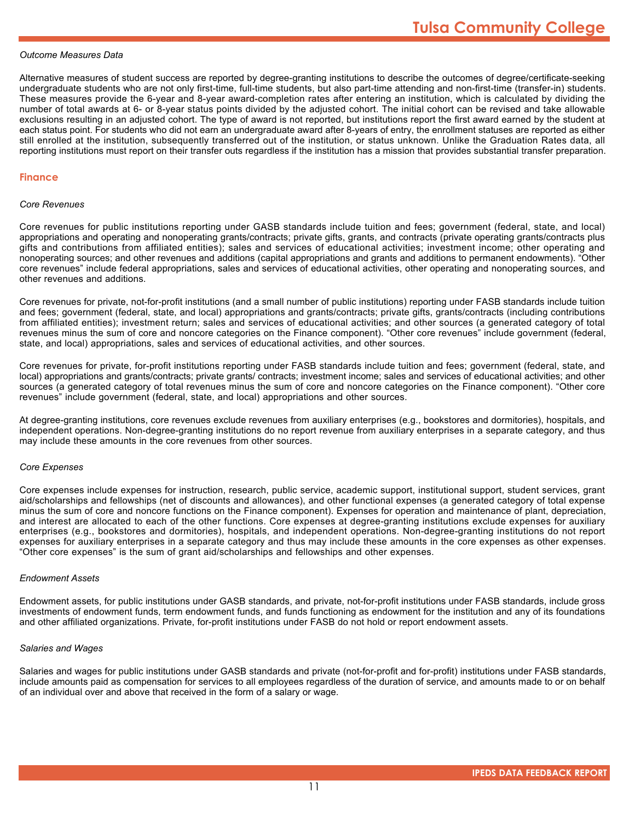#### *Outcome Measures Data*

Alternative measures of student success are reported by degree-granting institutions to describe the outcomes of degree/certificate-seeking undergraduate students who are not only first-time, full-time students, but also part-time attending and non-first-time (transfer-in) students. These measures provide the 6-year and 8-year award-completion rates after entering an institution, which is calculated by dividing the number of total awards at 6- or 8-year status points divided by the adjusted cohort. The initial cohort can be revised and take allowable exclusions resulting in an adjusted cohort. The type of award is not reported, but institutions report the first award earned by the student at each status point. For students who did not earn an undergraduate award after 8-years of entry, the enrollment statuses are reported as either still enrolled at the institution, subsequently transferred out of the institution, or status unknown. Unlike the Graduation Rates data, all reporting institutions must report on their transfer outs regardless if the institution has a mission that provides substantial transfer preparation.

#### **Finance**

#### *Core Revenues*

Core revenues for public institutions reporting under GASB standards include tuition and fees; government (federal, state, and local) appropriations and operating and nonoperating grants/contracts; private gifts, grants, and contracts (private operating grants/contracts plus gifts and contributions from affiliated entities); sales and services of educational activities; investment income; other operating and nonoperating sources; and other revenues and additions (capital appropriations and grants and additions to permanent endowments). "Other core revenues" include federal appropriations, sales and services of educational activities, other operating and nonoperating sources, and other revenues and additions.

Core revenues for private, not-for-profit institutions (and a small number of public institutions) reporting under FASB standards include tuition and fees; government (federal, state, and local) appropriations and grants/contracts; private gifts, grants/contracts (including contributions from affiliated entities); investment return; sales and services of educational activities; and other sources (a generated category of total revenues minus the sum of core and noncore categories on the Finance component). "Other core revenues" include government (federal, state, and local) appropriations, sales and services of educational activities, and other sources.

Core revenues for private, for-profit institutions reporting under FASB standards include tuition and fees; government (federal, state, and local) appropriations and grants/contracts; private grants/ contracts; investment income; sales and services of educational activities; and other sources (a generated category of total revenues minus the sum of core and noncore categories on the Finance component). "Other core revenues" include government (federal, state, and local) appropriations and other sources.

At degree-granting institutions, core revenues exclude revenues from auxiliary enterprises (e.g., bookstores and dormitories), hospitals, and independent operations. Non-degree-granting institutions do no report revenue from auxiliary enterprises in a separate category, and thus may include these amounts in the core revenues from other sources.

#### *Core Expenses*

Core expenses include expenses for instruction, research, public service, academic support, institutional support, student services, grant aid/scholarships and fellowships (net of discounts and allowances), and other functional expenses (a generated category of total expense minus the sum of core and noncore functions on the Finance component). Expenses for operation and maintenance of plant, depreciation, and interest are allocated to each of the other functions. Core expenses at degree-granting institutions exclude expenses for auxiliary enterprises (e.g., bookstores and dormitories), hospitals, and independent operations. Non-degree-granting institutions do not report expenses for auxiliary enterprises in a separate category and thus may include these amounts in the core expenses as other expenses. "Other core expenses" is the sum of grant aid/scholarships and fellowships and other expenses.

#### *Endowment Assets*

Endowment assets, for public institutions under GASB standards, and private, not-for-profit institutions under FASB standards, include gross investments of endowment funds, term endowment funds, and funds functioning as endowment for the institution and any of its foundations and other affiliated organizations. Private, for-profit institutions under FASB do not hold or report endowment assets.

#### *Salaries and Wages*

Salaries and wages for public institutions under GASB standards and private (not-for-profit and for-profit) institutions under FASB standards, include amounts paid as compensation for services to all employees regardless of the duration of service, and amounts made to or on behalf of an individual over and above that received in the form of a salary or wage.